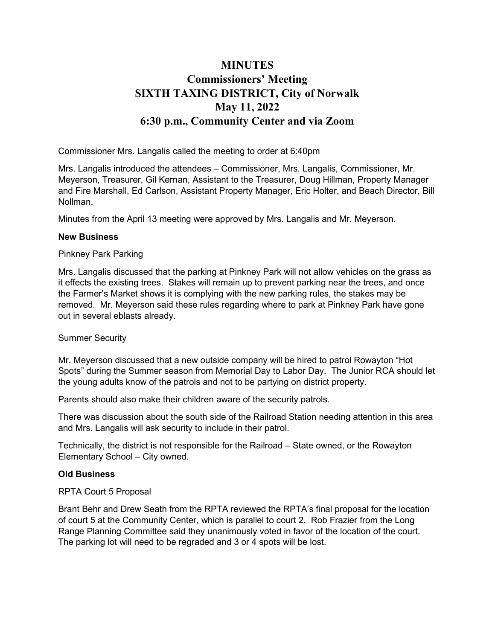# **MINUTES** Commissioners' Meeting SIXTH TAXING DISTRICT, City of Norwalk May 11, 2022 6:30 p.m., Community Center and via Zoom

Commissioner Mrs. Langalis called the meeting to order at 6:40pm

Mrs. Langalis introduced the attendees – Commissioner, Mrs. Langalis, Commissioner, Mr. Meyerson, Treasurer, Gil Kernan, Assistant to the Treasurer, Doug Hillman, Property Manager and Fire Marshall, Ed Carlson, Assistant Property Manager, Eric Holter, and Beach Director, Bill Nollman.

Minutes from the April 13 meeting were approved by Mrs. Langalis and Mr. Meyerson.

### New Business

### Pinkney Park Parking

Mrs. Langalis discussed that the parking at Pinkney Park will not allow vehicles on the grass as it effects the existing trees. Stakes will remain up to prevent parking near the trees, and once the Farmer's Market shows it is complying with the new parking rules, the stakes may be removed. Mr. Meyerson said these rules regarding where to park at Pinkney Park have gone out in several eblasts already.

## Summer Security

Mr. Meyerson discussed that a new outside company will be hired to patrol Rowayton "Hot Spots" during the Summer season from Memorial Day to Labor Day. The Junior RCA should let the young adults know of the patrols and not to be partying on district property.

Parents should also make their children aware of the security patrols.

There was discussion about the south side of the Railroad Station needing attention in this area and Mrs. Langalis will ask security to include in their patrol.

Technically, the district is not responsible for the Railroad – State owned, or the Rowayton Elementary School – City owned.

## Old Business

#### RPTA Court 5 Proposal

Brant Behr and Drew Seath from the RPTA reviewed the RPTA's final proposal for the location of court 5 at the Community Center, which is parallel to court 2. Rob Frazier from the Long Range Planning Committee said they unanimously voted in favor of the location of the court. The parking lot will need to be regraded and 3 or 4 spots will be lost.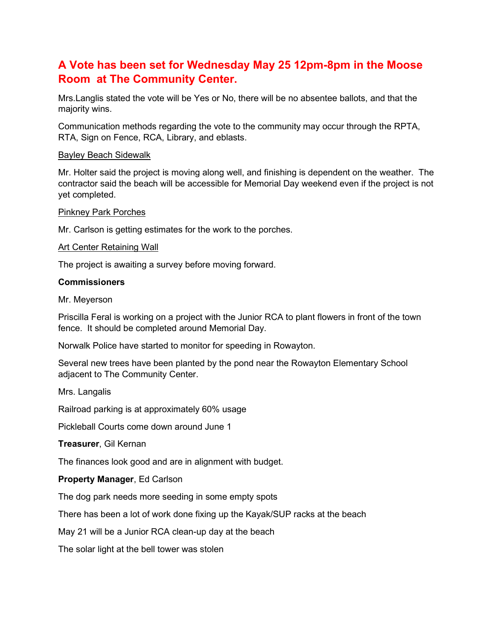# A Vote has been set for Wednesday May 25 12pm-8pm in the Moose Room at The Community Center.

Mrs.Langlis stated the vote will be Yes or No, there will be no absentee ballots, and that the majority wins.

Communication methods regarding the vote to the community may occur through the RPTA, RTA, Sign on Fence, RCA, Library, and eblasts.

### Bayley Beach Sidewalk

Mr. Holter said the project is moving along well, and finishing is dependent on the weather. The contractor said the beach will be accessible for Memorial Day weekend even if the project is not yet completed.

Pinkney Park Porches

Mr. Carlson is getting estimates for the work to the porches.

### Art Center Retaining Wall

The project is awaiting a survey before moving forward.

### **Commissioners**

Mr. Meyerson

Priscilla Feral is working on a project with the Junior RCA to plant flowers in front of the town fence. It should be completed around Memorial Day.

Norwalk Police have started to monitor for speeding in Rowayton.

Several new trees have been planted by the pond near the Rowayton Elementary School adjacent to The Community Center.

Mrs. Langalis

Railroad parking is at approximately 60% usage

Pickleball Courts come down around June 1

#### Treasurer, Gil Kernan

The finances look good and are in alignment with budget.

## Property Manager, Ed Carlson

The dog park needs more seeding in some empty spots

There has been a lot of work done fixing up the Kayak/SUP racks at the beach

May 21 will be a Junior RCA clean-up day at the beach

The solar light at the bell tower was stolen